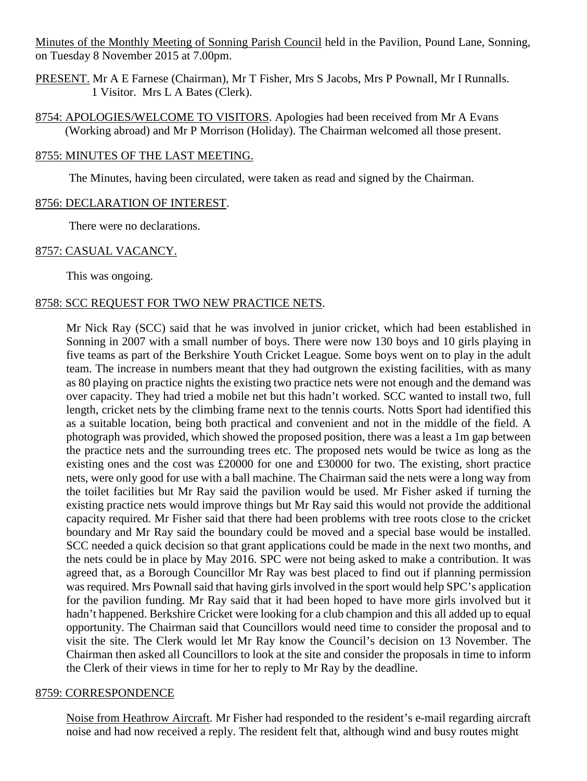Minutes of the Monthly Meeting of Sonning Parish Council held in the Pavilion, Pound Lane, Sonning, on Tuesday 8 November 2015 at 7.00pm.

PRESENT. Mr A E Farnese (Chairman), Mr T Fisher, Mrs S Jacobs, Mrs P Pownall, Mr I Runnalls. 1 Visitor. Mrs L A Bates (Clerk).

8754: APOLOGIES/WELCOME TO VISITORS. Apologies had been received from Mr A Evans (Working abroad) and Mr P Morrison (Holiday). The Chairman welcomed all those present.

## 8755: MINUTES OF THE LAST MEETING.

The Minutes, having been circulated, were taken as read and signed by the Chairman.

### 8756: DECLARATION OF INTEREST.

There were no declarations.

## 8757: CASUAL VACANCY.

This was ongoing.

## 8758: SCC REQUEST FOR TWO NEW PRACTICE NETS.

Mr Nick Ray (SCC) said that he was involved in junior cricket, which had been established in Sonning in 2007 with a small number of boys. There were now 130 boys and 10 girls playing in five teams as part of the Berkshire Youth Cricket League. Some boys went on to play in the adult team. The increase in numbers meant that they had outgrown the existing facilities, with as many as 80 playing on practice nights the existing two practice nets were not enough and the demand was over capacity. They had tried a mobile net but this hadn't worked. SCC wanted to install two, full length, cricket nets by the climbing frame next to the tennis courts. Notts Sport had identified this as a suitable location, being both practical and convenient and not in the middle of the field. A photograph was provided, which showed the proposed position, there was a least a 1m gap between the practice nets and the surrounding trees etc. The proposed nets would be twice as long as the existing ones and the cost was £20000 for one and £30000 for two. The existing, short practice nets, were only good for use with a ball machine. The Chairman said the nets were a long way from the toilet facilities but Mr Ray said the pavilion would be used. Mr Fisher asked if turning the existing practice nets would improve things but Mr Ray said this would not provide the additional capacity required. Mr Fisher said that there had been problems with tree roots close to the cricket boundary and Mr Ray said the boundary could be moved and a special base would be installed. SCC needed a quick decision so that grant applications could be made in the next two months, and the nets could be in place by May 2016. SPC were not being asked to make a contribution. It was agreed that, as a Borough Councillor Mr Ray was best placed to find out if planning permission was required. Mrs Pownall said that having girls involved in the sport would help SPC's application for the pavilion funding. Mr Ray said that it had been hoped to have more girls involved but it hadn't happened. Berkshire Cricket were looking for a club champion and this all added up to equal opportunity. The Chairman said that Councillors would need time to consider the proposal and to visit the site. The Clerk would let Mr Ray know the Council's decision on 13 November. The Chairman then asked all Councillors to look at the site and consider the proposals in time to inform the Clerk of their views in time for her to reply to Mr Ray by the deadline.

#### 8759: CORRESPONDENCE

Noise from Heathrow Aircraft. Mr Fisher had responded to the resident's e-mail regarding aircraft noise and had now received a reply. The resident felt that, although wind and busy routes might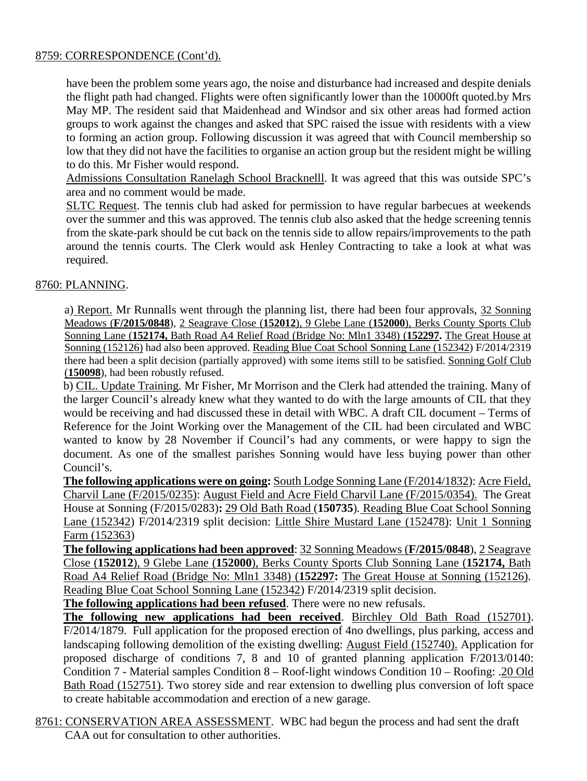## 8759: CORRESPONDENCE (Cont'd).

have been the problem some years ago, the noise and disturbance had increased and despite denials the flight path had changed. Flights were often significantly lower than the 10000ft quoted.by Mrs May MP. The resident said that Maidenhead and Windsor and six other areas had formed action groups to work against the changes and asked that SPC raised the issue with residents with a view to forming an action group. Following discussion it was agreed that with Council membership so low that they did not have the facilities to organise an action group but the resident might be willing to do this. Mr Fisher would respond.

Admissions Consultation Ranelagh School Bracknelll. It was agreed that this was outside SPC's area and no comment would be made.

SLTC Request. The tennis club had asked for permission to have regular barbecues at weekends over the summer and this was approved. The tennis club also asked that the hedge screening tennis from the skate-park should be cut back on the tennis side to allow repairs/improvements to the path around the tennis courts. The Clerk would ask Henley Contracting to take a look at what was required.

## 8760: PLANNING.

a) Report. Mr Runnalls went through the planning list, there had been four approvals, 32 Sonning Meadows (**F/2015/0848**), 2 Seagrave Close (**152012**), 9 Glebe Lane (**152000**), Berks County Sports Club Sonning Lane (**152174,** Bath Road A4 Relief Road (Bridge No: Mln1 3348) (**152297.** The Great House at Sonning (152126) had also been approved. Reading Blue Coat School Sonning Lane (152342) F/2014/2319 there had been a split decision (partially approved) with some items still to be satisfied. Sonning Golf Club (**150098**), had been robustly refused.

b) CIL. Update Training. Mr Fisher, Mr Morrison and the Clerk had attended the training. Many of the larger Council's already knew what they wanted to do with the large amounts of CIL that they would be receiving and had discussed these in detail with WBC. A draft CIL document – Terms of Reference for the Joint Working over the Management of the CIL had been circulated and WBC wanted to know by 28 November if Council's had any comments, or were happy to sign the document. As one of the smallest parishes Sonning would have less buying power than other Council's.

**The following applications were on going:** South Lodge Sonning Lane (F/2014/1832): Acre Field, Charvil Lane (F/2015/0235): August Field and Acre Field Charvil Lane (F/2015/0354). The Great House at Sonning (F/2015/0283)**:** 29 Old Bath Road (**150735**)*.* Reading Blue Coat School Sonning Lane (152342) F/2014/2319 split decision: Little Shire Mustard Lane (152478): Unit 1 Sonning Farm (152363)

**The following applications had been approved**: 32 Sonning Meadows (**F/2015/0848**), 2 Seagrave Close (**152012**), 9 Glebe Lane (**152000**), Berks County Sports Club Sonning Lane (**152174,** Bath Road A4 Relief Road (Bridge No: Mln1 3348) (**152297:** The Great House at Sonning (152126). Reading Blue Coat School Sonning Lane (152342) F/2014/2319 split decision.

**The following applications had been refused**. There were no new refusals.

**The following new applications had been received**. Birchley Old Bath Road (152701). F/2014/1879. Full application for the proposed erection of 4no dwellings, plus parking, access and landscaping following demolition of the existing dwelling: August Field (152740). Application for proposed discharge of conditions 7, 8 and 10 of granted planning application F/2013/0140: Condition 7 - Material samples Condition 8 – Roof-light windows Condition 10 – Roofing: .20 Old Bath Road (152751). Two storey side and rear extension to dwelling plus conversion of loft space to create habitable accommodation and erection of a new garage.

8761: CONSERVATION AREA ASSESSMENT. WBC had begun the process and had sent the draft CAA out for consultation to other authorities.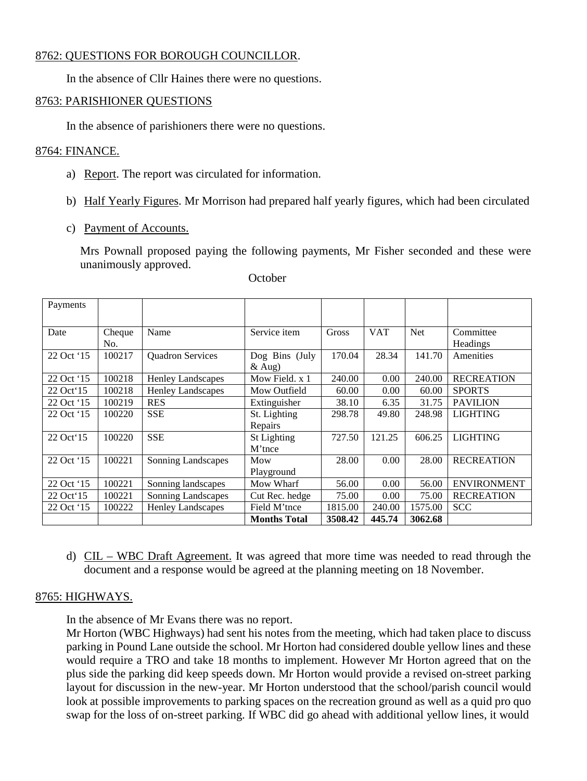## 8762: QUESTIONS FOR BOROUGH COUNCILLOR.

In the absence of Cllr Haines there were no questions.

## 8763: PARISHIONER QUESTIONS

In the absence of parishioners there were no questions.

## 8764: FINANCE.

- a) Report. The report was circulated for information.
- b) Half Yearly Figures. Mr Morrison had prepared half yearly figures, which had been circulated
- c) Payment of Accounts.

Mrs Pownall proposed paying the following payments, Mr Fisher seconded and these were unanimously approved.

| Payments      |        |                          |                     |              |            |         |                    |
|---------------|--------|--------------------------|---------------------|--------------|------------|---------|--------------------|
|               |        |                          |                     |              |            |         |                    |
| Date          | Cheque | Name                     | Service item        | <b>Gross</b> | <b>VAT</b> | Net     | Committee          |
|               | No.    |                          |                     |              |            |         | Headings           |
| 22 Oct '15    | 100217 | <b>Quadron Services</b>  | Dog Bins (July      | 170.04       | 28.34      | 141.70  | Amenities          |
|               |        |                          | $&$ Aug)            |              |            |         |                    |
| 22 Oct '15    | 100218 | Henley Landscapes        | Mow Field. x 1      | 240.00       | 0.00       | 240.00  | <b>RECREATION</b>  |
| 22 Oct 15     | 100218 | <b>Henley Landscapes</b> | Mow Outfield        | 60.00        | 0.00       | 60.00   | <b>SPORTS</b>      |
| 22 Oct '15    | 100219 | <b>RES</b>               | Extinguisher        | 38.10        | 6.35       | 31.75   | <b>PAVILION</b>    |
| 22 Oct '15    | 100220 | <b>SSE</b>               | St. Lighting        | 298.78       | 49.80      | 248.98  | <b>LIGHTING</b>    |
|               |        |                          | Repairs             |              |            |         |                    |
| $22$ Oct $15$ | 100220 | <b>SSE</b>               | St Lighting         | 727.50       | 121.25     | 606.25  | <b>LIGHTING</b>    |
|               |        |                          | M'tnce              |              |            |         |                    |
| 22 Oct '15    | 100221 | Sonning Landscapes       | Mow                 | 28.00        | 0.00       | 28.00   | <b>RECREATION</b>  |
|               |        |                          | Playground          |              |            |         |                    |
| 22 Oct '15    | 100221 | Sonning landscapes       | Mow Wharf           | 56.00        | 0.00       | 56.00   | <b>ENVIRONMENT</b> |
| 22 Oct 15     | 100221 | Sonning Landscapes       | Cut Rec. hedge      | 75.00        | 0.00       | 75.00   | <b>RECREATION</b>  |
| 22 Oct '15    | 100222 | <b>Henley Landscapes</b> | Field M'tnce        | 1815.00      | 240.00     | 1575.00 | <b>SCC</b>         |
|               |        |                          | <b>Months Total</b> | 3508.42      | 445.74     | 3062.68 |                    |

#### **October**

d) CIL – WBC Draft Agreement. It was agreed that more time was needed to read through the document and a response would be agreed at the planning meeting on 18 November.

# 8765: HIGHWAYS.

In the absence of Mr Evans there was no report.

Mr Horton (WBC Highways) had sent his notes from the meeting, which had taken place to discuss parking in Pound Lane outside the school. Mr Horton had considered double yellow lines and these would require a TRO and take 18 months to implement. However Mr Horton agreed that on the plus side the parking did keep speeds down. Mr Horton would provide a revised on-street parking layout for discussion in the new-year. Mr Horton understood that the school/parish council would look at possible improvements to parking spaces on the recreation ground as well as a quid pro quo swap for the loss of on-street parking. If WBC did go ahead with additional yellow lines, it would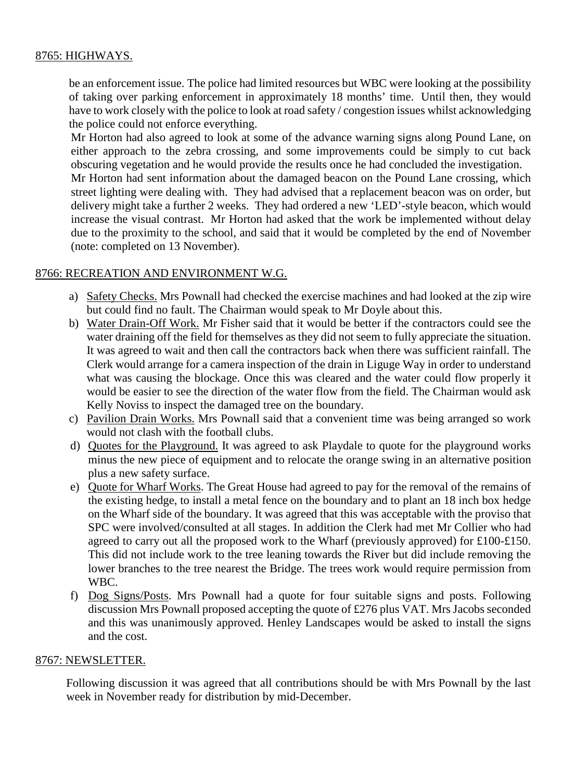# 8765: HIGHWAYS.

be an enforcement issue. The police had limited resources but WBC were looking at the possibility of taking over parking enforcement in approximately 18 months' time. Until then, they would have to work closely with the police to look at road safety / congestion issues whilst acknowledging the police could not enforce everything.

Mr Horton had also agreed to look at some of the advance warning signs along Pound Lane, on either approach to the zebra crossing, and some improvements could be simply to cut back obscuring vegetation and he would provide the results once he had concluded the investigation.

Mr Horton had sent information about the damaged beacon on the Pound Lane crossing, which street lighting were dealing with. They had advised that a replacement beacon was on order, but delivery might take a further 2 weeks. They had ordered a new 'LED'-style beacon, which would increase the visual contrast. Mr Horton had asked that the work be implemented without delay due to the proximity to the school, and said that it would be completed by the end of November (note: completed on 13 November).

## 8766: RECREATION AND ENVIRONMENT W.G.

- a) Safety Checks. Mrs Pownall had checked the exercise machines and had looked at the zip wire but could find no fault. The Chairman would speak to Mr Doyle about this.
- b) Water Drain-Off Work. Mr Fisher said that it would be better if the contractors could see the water draining off the field for themselves as they did not seem to fully appreciate the situation. It was agreed to wait and then call the contractors back when there was sufficient rainfall. The Clerk would arrange for a camera inspection of the drain in Liguge Way in order to understand what was causing the blockage. Once this was cleared and the water could flow properly it would be easier to see the direction of the water flow from the field. The Chairman would ask Kelly Noviss to inspect the damaged tree on the boundary.
- c) Pavilion Drain Works. Mrs Pownall said that a convenient time was being arranged so work would not clash with the football clubs.
- d) Quotes for the Playground. It was agreed to ask Playdale to quote for the playground works minus the new piece of equipment and to relocate the orange swing in an alternative position plus a new safety surface.
- e) Quote for Wharf Works. The Great House had agreed to pay for the removal of the remains of the existing hedge, to install a metal fence on the boundary and to plant an 18 inch box hedge on the Wharf side of the boundary. It was agreed that this was acceptable with the proviso that SPC were involved/consulted at all stages. In addition the Clerk had met Mr Collier who had agreed to carry out all the proposed work to the Wharf (previously approved) for £100-£150. This did not include work to the tree leaning towards the River but did include removing the lower branches to the tree nearest the Bridge. The trees work would require permission from WBC.
- f) Dog Signs/Posts. Mrs Pownall had a quote for four suitable signs and posts. Following discussion Mrs Pownall proposed accepting the quote of £276 plus VAT. Mrs Jacobs seconded and this was unanimously approved. Henley Landscapes would be asked to install the signs and the cost.

## 8767: NEWSLETTER.

Following discussion it was agreed that all contributions should be with Mrs Pownall by the last week in November ready for distribution by mid-December.